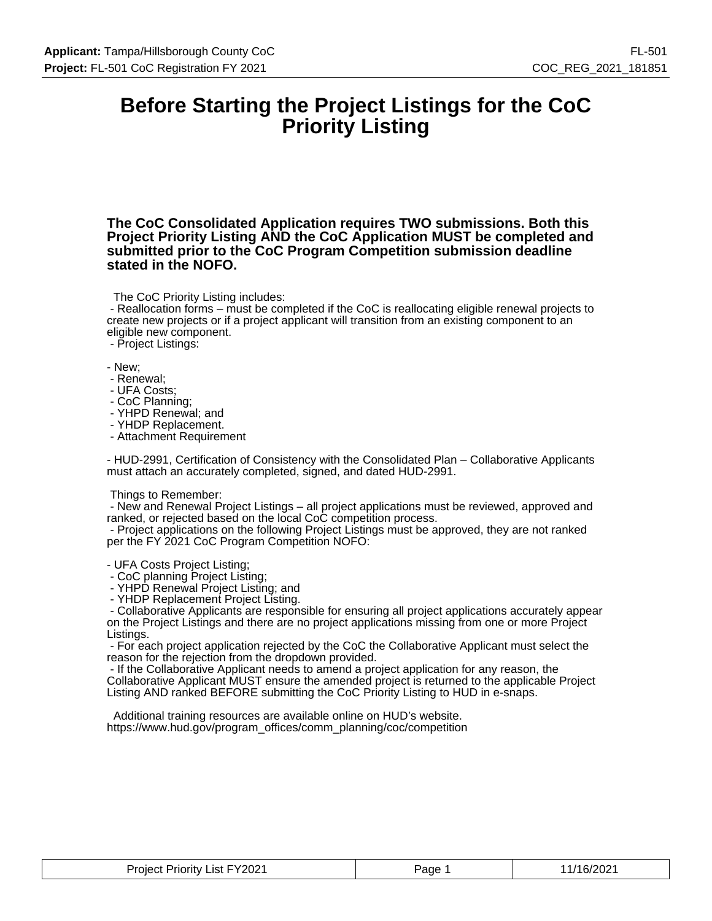## **Before Starting the Project Listings for the CoC Priority Listing**

**The CoC Consolidated Application requires TWO submissions. Both this Project Priority Listing AND the CoC Application MUST be completed and submitted prior to the CoC Program Competition submission deadline stated in the NOFO.**

The CoC Priority Listing includes:

 - Reallocation forms – must be completed if the CoC is reallocating eligible renewal projects to create new projects or if a project applicant will transition from an existing component to an eligible new component.

- Project Listings:

- New;

- Renewal;
- UFA Costs;
- CoC Planning;
- YHPD Renewal; and
- YHDP Replacement.
- Attachment Requirement

- HUD-2991, Certification of Consistency with the Consolidated Plan – Collaborative Applicants must attach an accurately completed, signed, and dated HUD-2991.

#### Things to Remember:

 - New and Renewal Project Listings – all project applications must be reviewed, approved and ranked, or rejected based on the local CoC competition process.

 - Project applications on the following Project Listings must be approved, they are not ranked per the FY 2021 CoC Program Competition NOFO:

- UFA Costs Project Listing;

- CoC planning Project Listing;

- YHPD Renewal Project Listing; and

- YHDP Replacement Project Listing.

 - Collaborative Applicants are responsible for ensuring all project applications accurately appear on the Project Listings and there are no project applications missing from one or more Project Listings.

 - For each project application rejected by the CoC the Collaborative Applicant must select the reason for the rejection from the dropdown provided.

 - If the Collaborative Applicant needs to amend a project application for any reason, the Collaborative Applicant MUST ensure the amended project is returned to the applicable Project Listing AND ranked BEFORE submitting the CoC Priority Listing to HUD in e-snaps.

 Additional training resources are available online on HUD's website. https://www.hud.gov/program\_offices/comm\_planning/coc/competition

| <b>Project Priority List FY2021</b> | Page <sup>1</sup> | 11/16/2021 |
|-------------------------------------|-------------------|------------|
|-------------------------------------|-------------------|------------|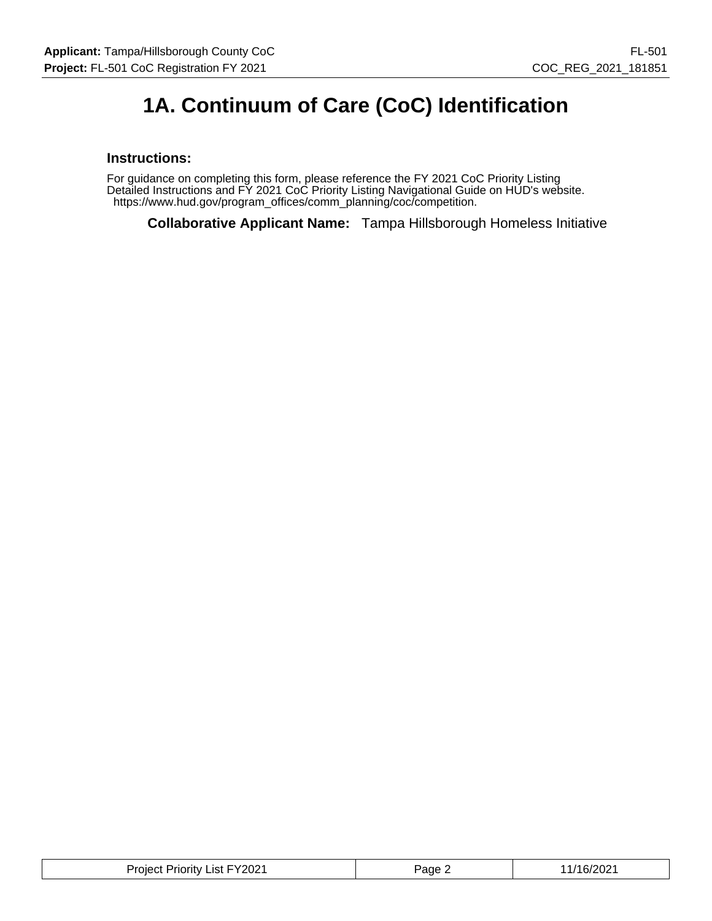## **1A. Continuum of Care (CoC) Identification**

### **Instructions:**

For guidance on completing this form, please reference the FY 2021 CoC Priority Listing Detailed Instructions and FY 2021 CoC Priority Listing Navigational Guide on HUD's website. https://www.hud.gov/program\_offices/comm\_planning/coc/competition.

**Collaborative Applicant Name:** Tampa Hillsborough Homeless Initiative

| <b>Project Priority List FY2021</b> | $\log$ | /16/2021 |
|-------------------------------------|--------|----------|
|-------------------------------------|--------|----------|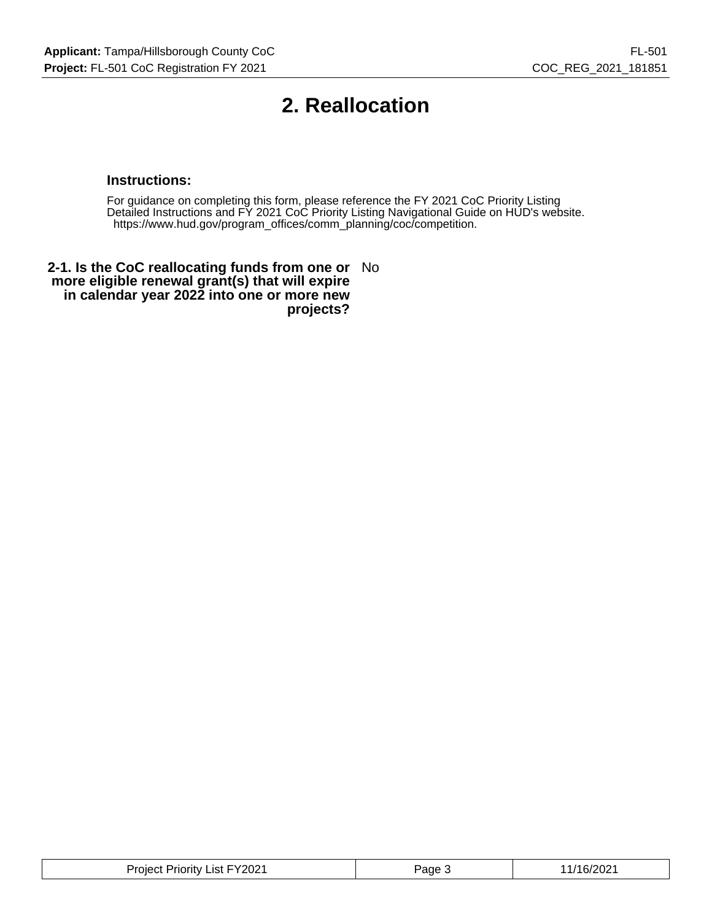# **2. Reallocation**

## **Instructions:**

For guidance on completing this form, please reference the FY 2021 CoC Priority Listing Detailed Instructions and FY 2021 CoC Priority Listing Navigational Guide on HUD's website. https://www.hud.gov/program\_offices/comm\_planning/coc/competition.

**2-1. Is the CoC reallocating funds from one or** No **more eligible renewal grant(s) that will expire in calendar year 2022 into one or more new projects?**

| . FY2021 ،<br>Proiect<br>List F<br>Priority. | Page | $\sim$ 1000 $\sim$<br>™∠∪∠ . |
|----------------------------------------------|------|------------------------------|
|----------------------------------------------|------|------------------------------|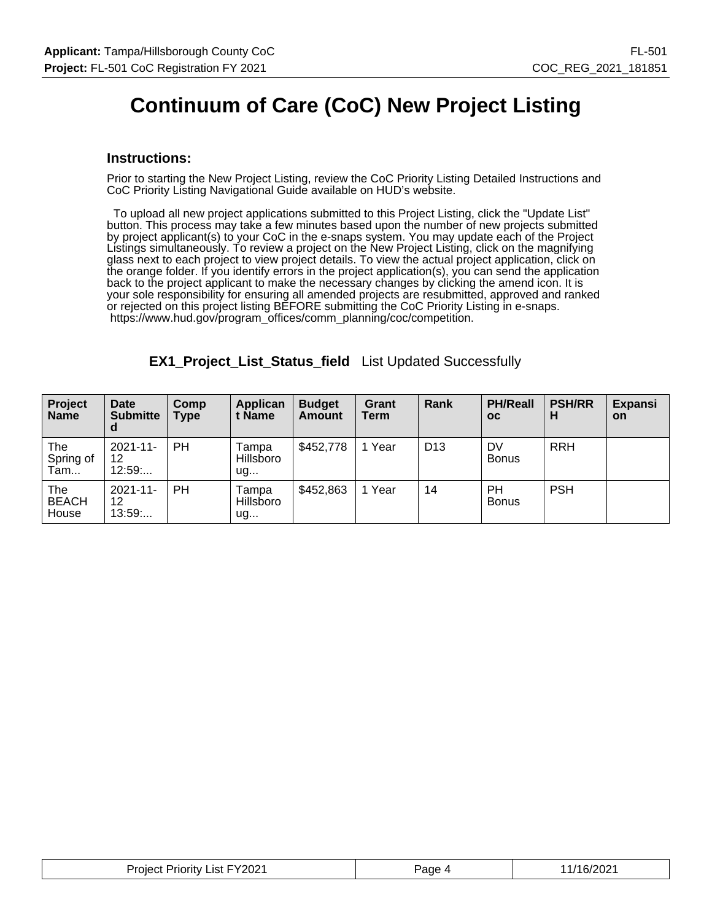# **Continuum of Care (CoC) New Project Listing**

### **Instructions:**

Prior to starting the New Project Listing, review the CoC Priority Listing Detailed Instructions and CoC Priority Listing Navigational Guide available on HUD's website.

 To upload all new project applications submitted to this Project Listing, click the "Update List" button. This process may take a few minutes based upon the number of new projects submitted by project applicant(s) to your CoC in the e-snaps system. You may update each of the Project Listings simultaneously. To review a project on the New Project Listing, click on the magnifying glass next to each project to view project details. To view the actual project application, click on the orange folder. If you identify errors in the project application(s), you can send the application back to the project applicant to make the necessary changes by clicking the amend icon. It is your sole responsibility for ensuring all amended projects are resubmitted, approved and ranked or rejected on this project listing BEFORE submitting the CoC Priority Listing in e-snaps. https://www.hud.gov/program\_offices/comm\_planning/coc/competition.

| <b>Project</b><br><b>Name</b> | <b>Date</b><br><b>Submitte</b><br>d | Comp<br>Type | Applican<br>t Name       | <b>Budget</b><br><b>Amount</b> | Grant<br>Term | Rank            | <b>PH/Reall</b><br><b>OC</b> | <b>PSH/RR</b><br>H | <b>Expansi</b><br><b>on</b> |
|-------------------------------|-------------------------------------|--------------|--------------------------|--------------------------------|---------------|-----------------|------------------------------|--------------------|-----------------------------|
| The<br>Spring of<br>Tam       | $2021 - 11$<br>12<br>12:59          | PH           | Tampa<br>Hillsboro<br>ug | \$452,778                      | 1 Year        | D <sub>13</sub> | <b>DV</b><br><b>Bonus</b>    | <b>RRH</b>         |                             |
| The<br><b>BEACH</b><br>House  | $2021 - 11$<br>12<br>13:59          | PH           | Tampa<br>Hillsboro<br>ug | \$452,863                      | 1 Year        | 14              | <b>PH</b><br><b>Bonus</b>    | <b>PSH</b>         |                             |

## **EX1\_Project\_List\_Status\_field** List Updated Successfully

| Project Priority List FY2021 | Page 4 | 11/16/2021 |
|------------------------------|--------|------------|
|------------------------------|--------|------------|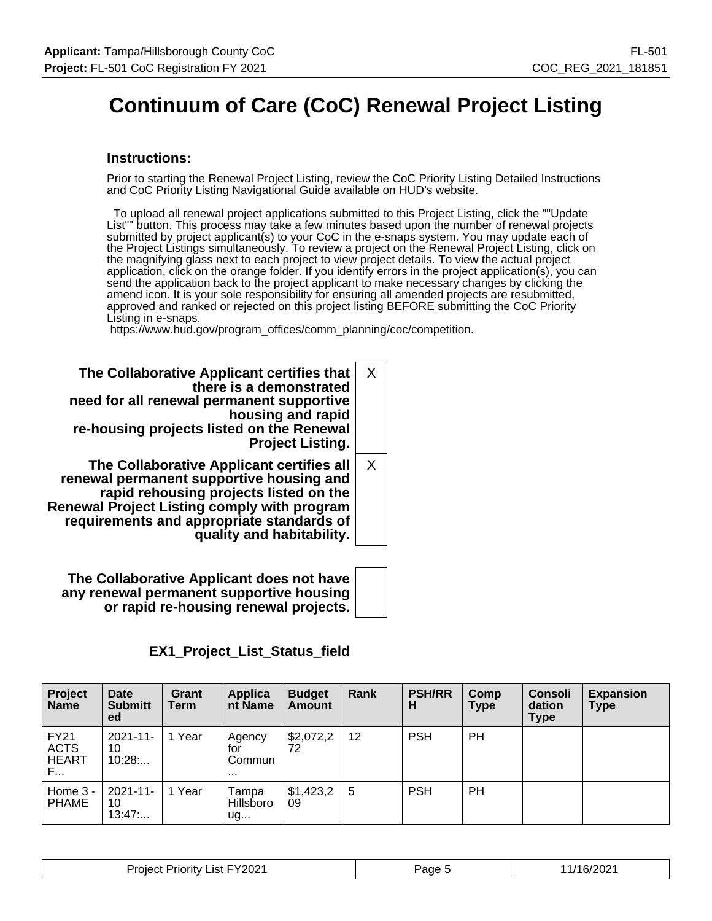# **Continuum of Care (CoC) Renewal Project Listing**

## **Instructions:**

Prior to starting the Renewal Project Listing, review the CoC Priority Listing Detailed Instructions and CoC Priority Listing Navigational Guide available on HUD's website.

 To upload all renewal project applications submitted to this Project Listing, click the ""Update List"" button. This process may take a few minutes based upon the number of renewal projects submitted by project applicant(s) to your CoC in the e-snaps system. You may update each of the Project Listings simultaneously. To review a project on the Renewal Project Listing, click on the magnifying glass next to each project to view project details. To view the actual project application, click on the orange folder. If you identify errors in the project application(s), you can send the application back to the project applicant to make necessary changes by clicking the amend icon. It is your sole responsibility for ensuring all amended projects are resubmitted, approved and ranked or rejected on this project listing BEFORE submitting the CoC Priority Listing in e-snaps.

https://www.hud.gov/program\_offices/comm\_planning/coc/competition.

| The Collaborative Applicant certifies that<br>there is a demonstrated<br>need for all renewal permanent supportive<br>housing and rapid<br>re-housing projects listed on the Renewal<br><b>Project Listing.</b>                                                 | X |
|-----------------------------------------------------------------------------------------------------------------------------------------------------------------------------------------------------------------------------------------------------------------|---|
| The Collaborative Applicant certifies all<br>renewal permanent supportive housing and<br>rapid rehousing projects listed on the<br><b>Renewal Project Listing comply with program</b><br>requirements and appropriate standards of<br>quality and habitability. | X |

**The Collaborative Applicant does not have any renewal permanent supportive housing or rapid re-housing renewal projects.**

| <b>Project</b><br><b>Name</b>                   | <b>Date</b><br><b>Submitt</b><br>ed | Grant<br>Term | <b>Applica</b><br>nt Name    | <b>Budget</b><br><b>Amount</b> | Rank    | <b>PSH/RR</b><br>н | Comp<br><b>Type</b> | <b>Consoli</b><br>dation<br>Type | <b>Expansion</b><br><b>Type</b> |
|-------------------------------------------------|-------------------------------------|---------------|------------------------------|--------------------------------|---------|--------------------|---------------------|----------------------------------|---------------------------------|
| <b>FY21</b><br><b>ACTS</b><br><b>HEART</b><br>F | $2021 - 11$<br>10<br>10:28          | Year          | Agency<br>for<br>Commun<br>. | \$2,072,2<br>72                | $12 \,$ | <b>PSH</b>         | <b>PH</b>           |                                  |                                 |
| Home 3 -<br><b>PHAME</b>                        | $2021 - 11 -$<br>10<br>13:47        | Year          | Tampa<br>Hillsboro<br>ug     | \$1,423,2<br>09                | -5      | <b>PSH</b>         | <b>PH</b>           |                                  |                                 |

| Y2021 <sup>:</sup><br>Proie<br>nority<br>.ıst<br>.<br>the contract of the contract of the contract of the contract of the contract of the contract of the contract of<br>. . | age | יימטריי<br>∕ ורו<br>ືບ∠ |
|------------------------------------------------------------------------------------------------------------------------------------------------------------------------------|-----|-------------------------|
|------------------------------------------------------------------------------------------------------------------------------------------------------------------------------|-----|-------------------------|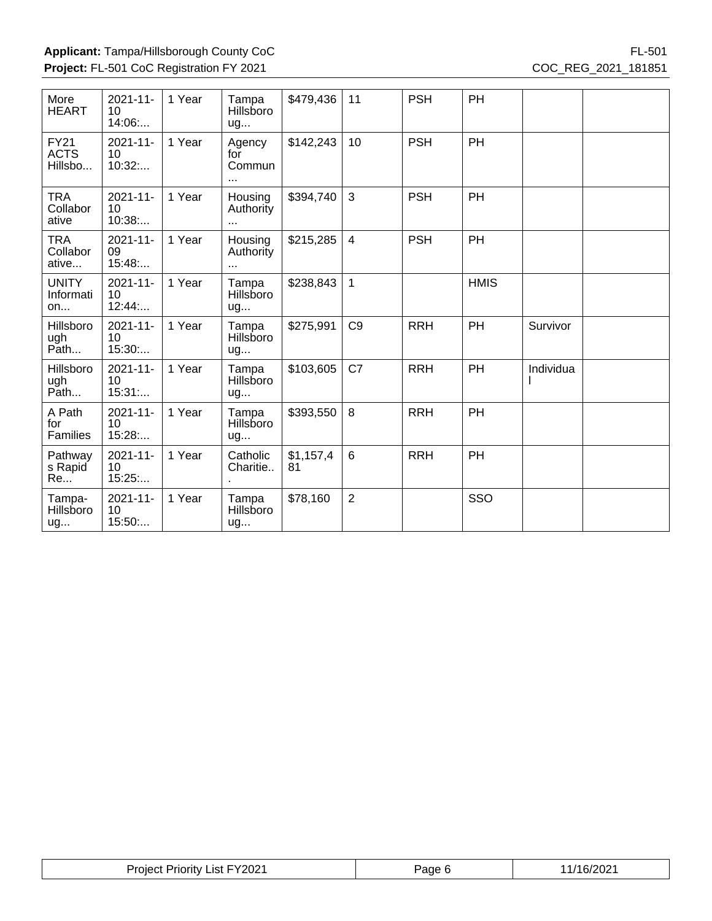| More<br><b>HEART</b>                  | $2021 - 11 -$<br>10<br>14:06  | 1 Year | Tampa<br>Hillsboro<br>ug            | \$479,436       | 11             | <b>PSH</b> | PH          |           |  |
|---------------------------------------|-------------------------------|--------|-------------------------------------|-----------------|----------------|------------|-------------|-----------|--|
| <b>FY21</b><br><b>ACTS</b><br>Hillsbo | $2021 - 11 -$<br>10<br>10:32  | 1 Year | Agency<br>for<br>Commun<br>$\cdots$ | \$142,243       | 10             | <b>PSH</b> | PH          |           |  |
| <b>TRA</b><br>Collabor<br>ative       | $2021 - 11 -$<br>10<br>10:38  | 1 Year | Housing<br>Authority<br>$\cdots$    | \$394,740       | 3              | <b>PSH</b> | PH          |           |  |
| <b>TRA</b><br>Collabor<br>ative       | $2021 - 11 -$<br>09<br>15:48  | 1 Year | Housing<br>Authority<br>$\cdots$    | \$215,285       | $\overline{4}$ | <b>PSH</b> | <b>PH</b>   |           |  |
| <b>UNITY</b><br>Informati<br>on       | $2021 - 11 -$<br>10<br>12:44  | 1 Year | Tampa<br>Hillsboro<br>ug            | \$238,843       | $\mathbf{1}$   |            | <b>HMIS</b> |           |  |
| Hillsboro<br>ugh<br>Path              | $2021 - 11 -$<br>10<br>15:30: | 1 Year | Tampa<br>Hillsboro<br>ug            | \$275,991       | C <sub>9</sub> | <b>RRH</b> | PH          | Survivor  |  |
| Hillsboro<br>ugh<br>Path              | $2021 - 11 -$<br>10<br>15:31  | 1 Year | Tampa<br>Hillsboro<br>ug            | \$103,605       | C7             | <b>RRH</b> | PH          | Individua |  |
| A Path<br>for<br>Families             | $2021 - 11 -$<br>10<br>15:28  | 1 Year | Tampa<br>Hillsboro<br>ug            | \$393,550       | 8              | <b>RRH</b> | PH          |           |  |
| Pathway<br>s Rapid<br>Re              | $2021 - 11 -$<br>10<br>15:25  | 1 Year | Catholic<br>Charitie                | \$1,157,4<br>81 | $6\phantom{1}$ | <b>RRH</b> | PH          |           |  |
| Tampa-<br>Hillsboro<br>ug             | $2021 - 11 -$<br>10<br>15:50: | 1 Year | Tampa<br>Hillsboro<br>ug            | \$78,160        | $\overline{2}$ |            | SSO         |           |  |

| <sup>=</sup> Y2021<br>Proiect<br>.ist<br>Priority | Page | $16/20$ $\epsilon$ . |
|---------------------------------------------------|------|----------------------|
|---------------------------------------------------|------|----------------------|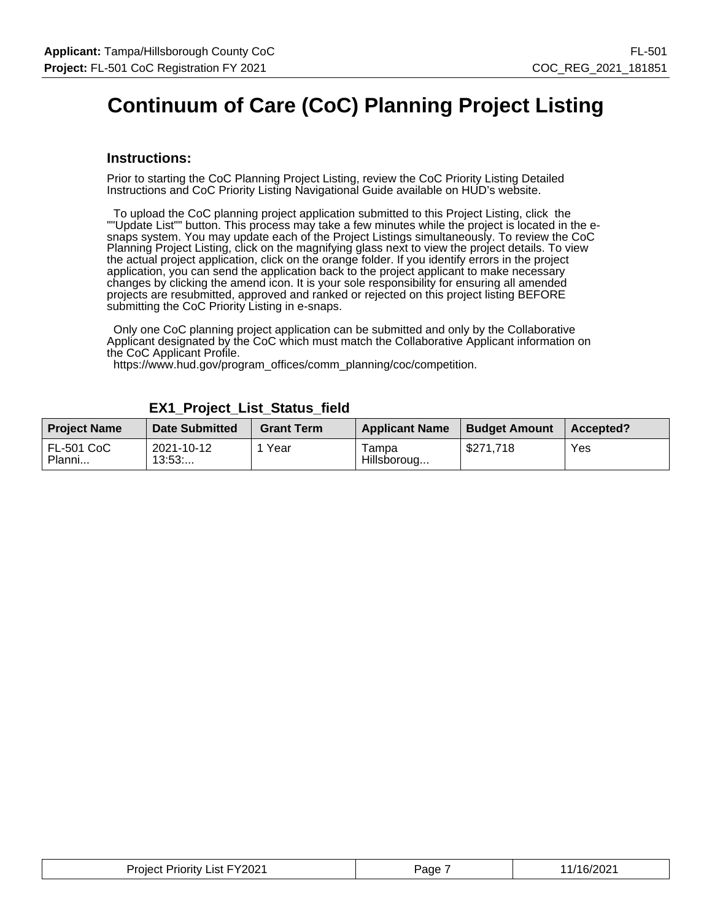# **Continuum of Care (CoC) Planning Project Listing**

### **Instructions:**

Prior to starting the CoC Planning Project Listing, review the CoC Priority Listing Detailed Instructions and CoC Priority Listing Navigational Guide available on HUD's website.

 To upload the CoC planning project application submitted to this Project Listing, click the ""Update List"" button. This process may take a few minutes while the project is located in the esnaps system. You may update each of the Project Listings simultaneously. To review the CoC Planning Project Listing, click on the magnifying glass next to view the project details. To view the actual project application, click on the orange folder. If you identify errors in the project application, you can send the application back to the project applicant to make necessary changes by clicking the amend icon. It is your sole responsibility for ensuring all amended projects are resubmitted, approved and ranked or rejected on this project listing BEFORE submitting the CoC Priority Listing in e-snaps.

 Only one CoC planning project application can be submitted and only by the Collaborative Applicant designated by the CoC which must match the Collaborative Applicant information on the CoC Applicant Profile.

https://www.hud.gov/program\_offices/comm\_planning/coc/competition.

| <b>Project Name</b>  | <b>Date Submitted</b> | <b>Grant Term</b> | <b>Applicant Name</b> | <b>Budget Amount</b> | Accepted? |
|----------------------|-----------------------|-------------------|-----------------------|----------------------|-----------|
| FL-501 CoC<br>Planni | 2021-10-12<br>13:53   | Year              | Tampa<br>Hillsboroug  | \$271,718            | Yes       |

#### **EX1\_Project\_List\_Status\_field**

| <b>Project Priority List FY2021</b> | Page | 11/16/2021 |
|-------------------------------------|------|------------|
|-------------------------------------|------|------------|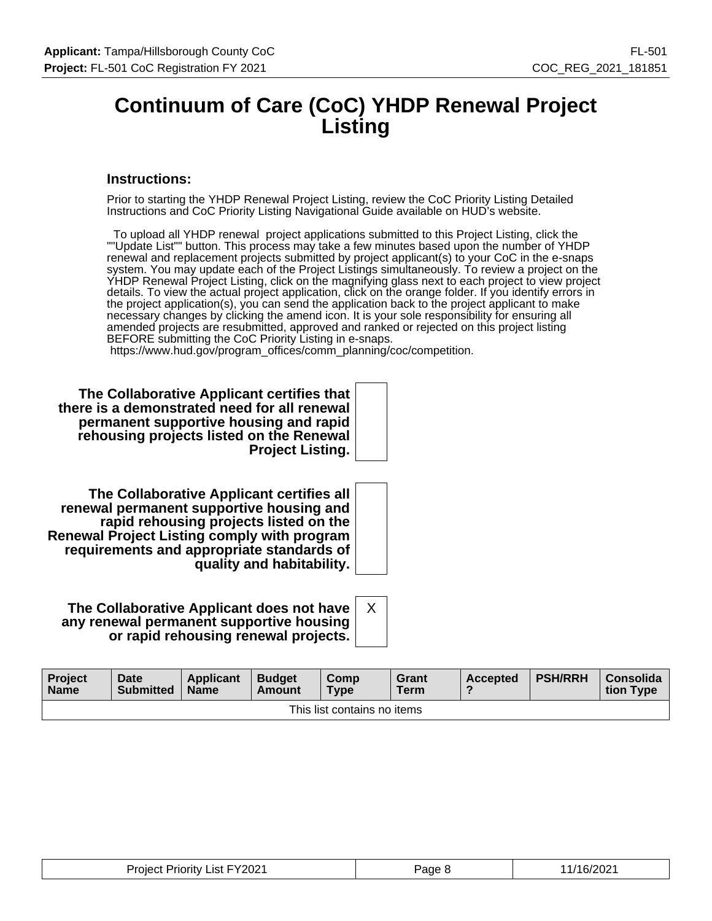## **Continuum of Care (CoC) YHDP Renewal Project Listing**

### **Instructions:**

Prior to starting the YHDP Renewal Project Listing, review the CoC Priority Listing Detailed Instructions and CoC Priority Listing Navigational Guide available on HUD's website.

 To upload all YHDP renewal project applications submitted to this Project Listing, click the ""Update List"" button. This process may take a few minutes based upon the number of YHDP renewal and replacement projects submitted by project applicant(s) to your CoC in the e-snaps system. You may update each of the Project Listings simultaneously. To review a project on the YHDP Renewal Project Listing, click on the magnifying glass next to each project to view project details. To view the actual project application, click on the orange folder. If you identify errors in the project application(s), you can send the application back to the project applicant to make necessary changes by clicking the amend icon. It is your sole responsibility for ensuring all amended projects are resubmitted, approved and ranked or rejected on this project listing BEFORE submitting the CoC Priority Listing in e-snaps.

https://www.hud.gov/program\_offices/comm\_planning/coc/competition.

**The Collaborative Applicant certifies that there is a demonstrated need for all renewal permanent supportive housing and rapid rehousing projects listed on the Renewal Project Listing.**

**The Collaborative Applicant certifies all renewal permanent supportive housing and rapid rehousing projects listed on the Renewal Project Listing comply with program requirements and appropriate standards of quality and habitability.**

**The Collaborative Applicant does not have any renewal permanent supportive housing or rapid rehousing renewal projects.**

| <b>Project</b><br><b>Name</b> | Date<br><b>Submitted</b> | <b>Applicant</b><br><b>Name</b> | <b>Budget</b><br>Amount | Comp<br><b>Type</b> | Grant<br><b>Term</b> | <b>Accepted</b> | <b>PSH/RRH</b> | <b>Consolida</b><br>tion Type |
|-------------------------------|--------------------------|---------------------------------|-------------------------|---------------------|----------------------|-----------------|----------------|-------------------------------|
| This list contains no items   |                          |                                 |                         |                     |                      |                 |                |                               |

X

| <b>Project Priority List FY2021</b> | Page P | 11/16/2021 |
|-------------------------------------|--------|------------|
|-------------------------------------|--------|------------|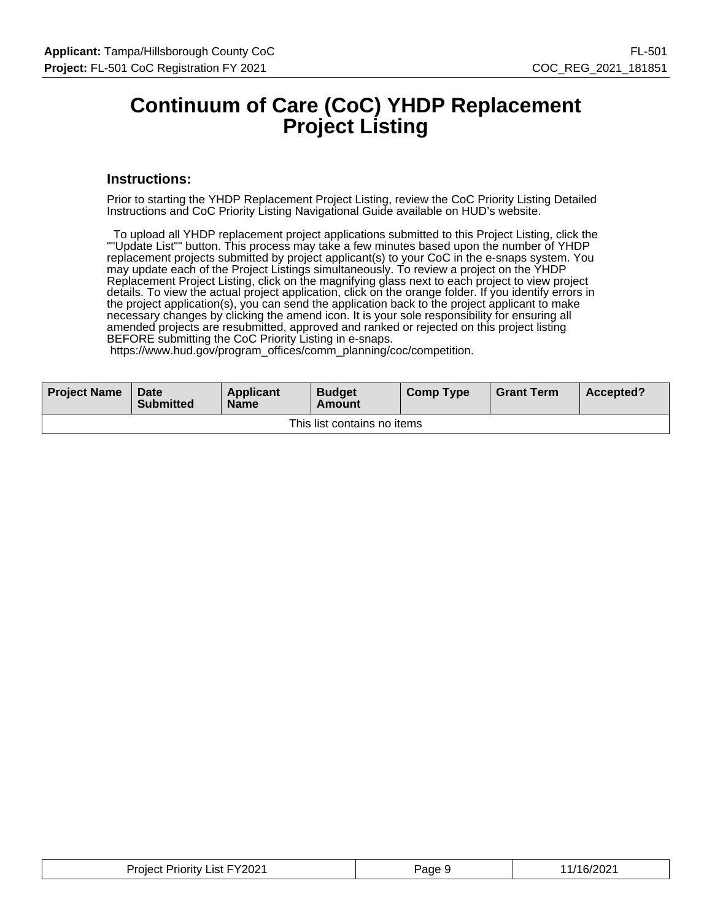## **Continuum of Care (CoC) YHDP Replacement Project Listing**

#### **Instructions:**

Prior to starting the YHDP Replacement Project Listing, review the CoC Priority Listing Detailed Instructions and CoC Priority Listing Navigational Guide available on HUD's website.

 To upload all YHDP replacement project applications submitted to this Project Listing, click the ""Update List"" button. This process may take a few minutes based upon the number of YHDP replacement projects submitted by project applicant(s) to your CoC in the e-snaps system. You may update each of the Project Listings simultaneously. To review a project on the YHDP Replacement Project Listing, click on the magnifying glass next to each project to view project details. To view the actual project application, click on the orange folder. If you identify errors in the project application(s), you can send the application back to the project applicant to make necessary changes by clicking the amend icon. It is your sole responsibility for ensuring all amended projects are resubmitted, approved and ranked or rejected on this project listing BEFORE submitting the CoC Priority Listing in e-snaps.

https://www.hud.gov/program\_offices/comm\_planning/coc/competition.

| <b>Project Name</b>         | Date<br><b>Submitted</b> | <b>Applicant</b><br><b>Name</b> | <b>Budget</b><br>Amount | <b>Comp Type</b> | <b>Grant Term</b> | Accepted? |
|-----------------------------|--------------------------|---------------------------------|-------------------------|------------------|-------------------|-----------|
| This list contains no items |                          |                                 |                         |                  |                   |           |

| <b>Project Priority List FY2021</b> | Page | /16/2021<br>______ |
|-------------------------------------|------|--------------------|
|-------------------------------------|------|--------------------|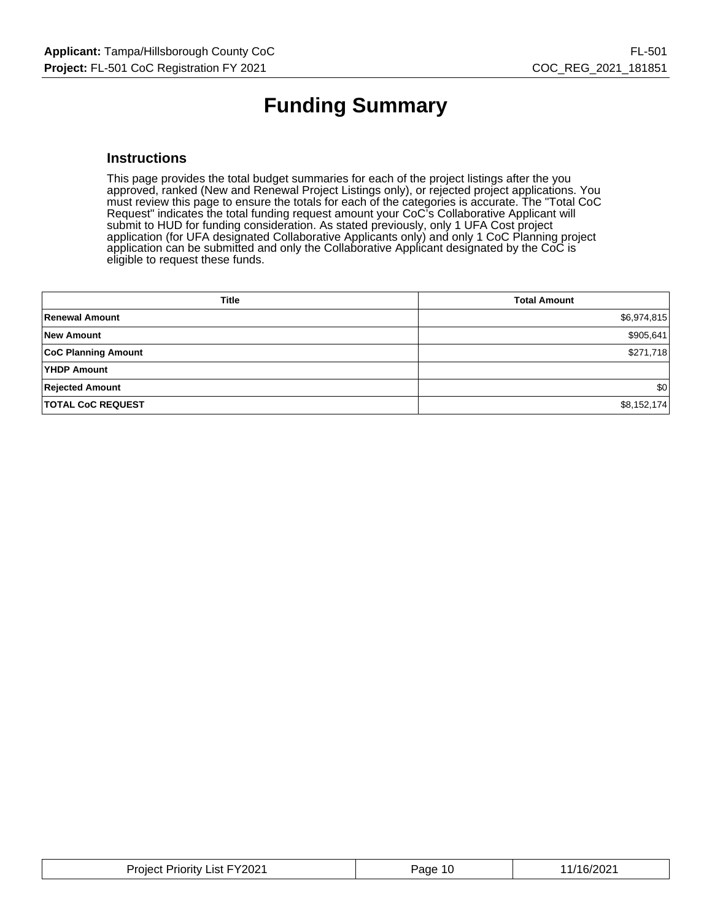# **Funding Summary**

#### **Instructions**

This page provides the total budget summaries for each of the project listings after the you approved, ranked (New and Renewal Project Listings only), or rejected project applications. You must review this page to ensure the totals for each of the categories is accurate. The "Total CoC Request" indicates the total funding request amount your CoC's Collaborative Applicant will submit to HUD for funding consideration. As stated previously, only 1 UFA Cost project application (for UFA designated Collaborative Applicants only) and only 1 CoC Planning project application can be submitted and only the Collaborative Applicant designated by the CoC is eligible to request these funds.

| <b>Title</b>               | <b>Total Amount</b> |
|----------------------------|---------------------|
| Renewal Amount             | \$6,974,815         |
| <b>New Amount</b>          | \$905,641           |
| <b>CoC Planning Amount</b> | \$271,718           |
| YHDP Amount                |                     |
| <b>Rejected Amount</b>     | \$0                 |
| <b>TOTAL CoC REQUEST</b>   | \$8,152,174         |

| Project Priority List FY2021 | Page 10 | 11/16/2021 |
|------------------------------|---------|------------|
|------------------------------|---------|------------|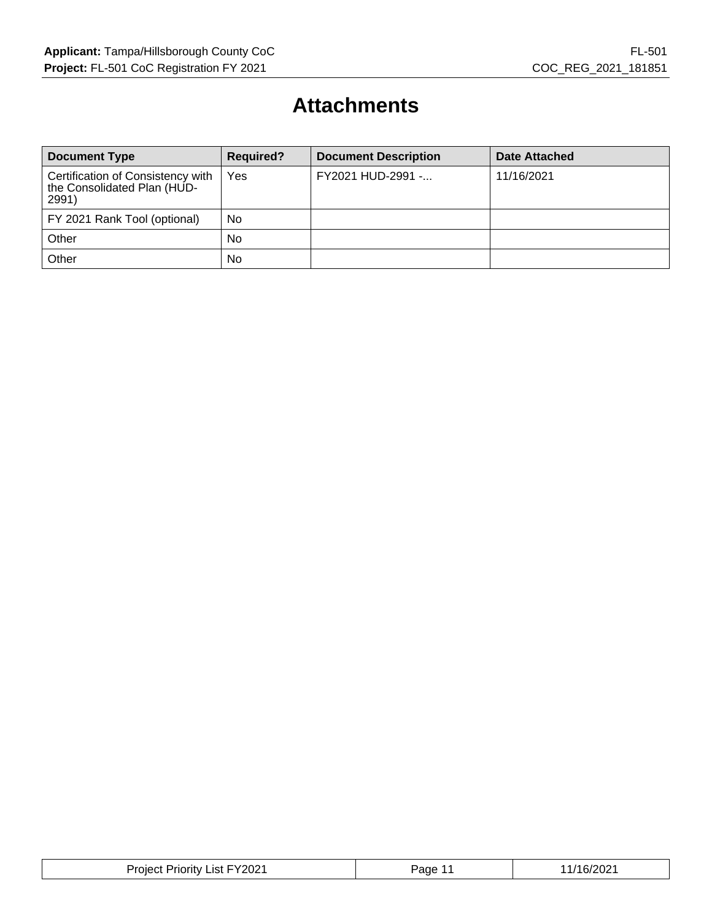# **Attachments**

| <b>Document Type</b>                                                      | <b>Required?</b> | <b>Document Description</b> | Date Attached |
|---------------------------------------------------------------------------|------------------|-----------------------------|---------------|
| Certification of Consistency with<br>the Consolidated Plan (HUD-<br>2991) | Yes              | FY2021 HUD-2991 -           | 11/16/2021    |
| FY 2021 Rank Tool (optional)                                              | No               |                             |               |
| Other                                                                     | <b>No</b>        |                             |               |
| Other                                                                     | No               |                             |               |

| :Vooo4<br>.ıst<br>--<br>، ۱۱ет<br>н<br>' ∠∪∠ ' | Page | . тъ. |
|------------------------------------------------|------|-------|
|------------------------------------------------|------|-------|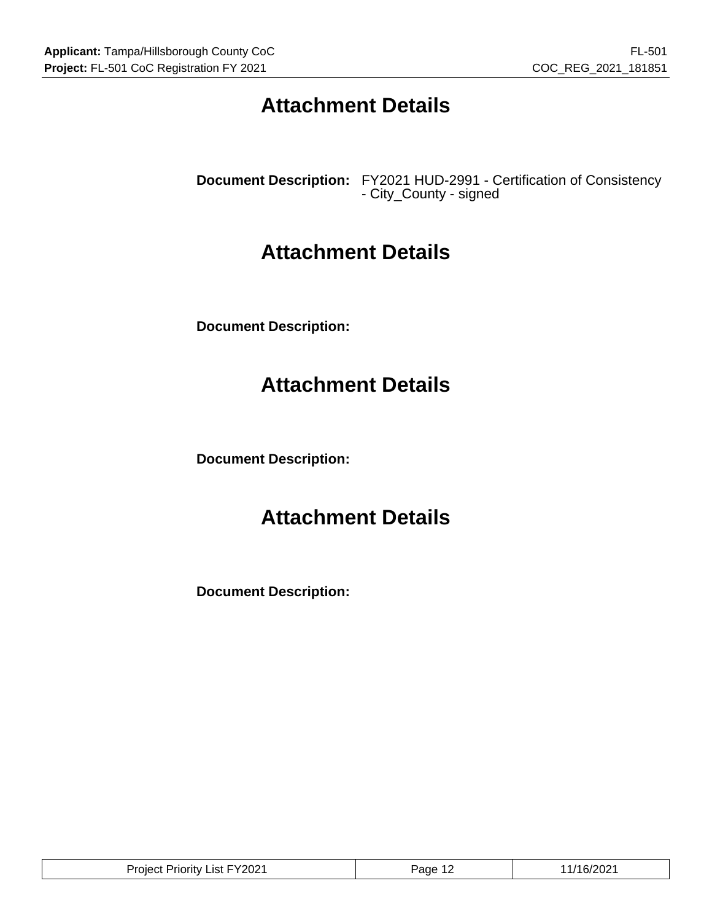# **Attachment Details**

**Document Description:** FY2021 HUD-2991 - Certification of Consistency - City\_County - signed

# **Attachment Details**

**Document Description:**

# **Attachment Details**

**Document Description:**

# **Attachment Details**

**Document Description:**

| FY2021<br>_ist<br>Project<br>Priority | Pane | 16/2021 |
|---------------------------------------|------|---------|
|---------------------------------------|------|---------|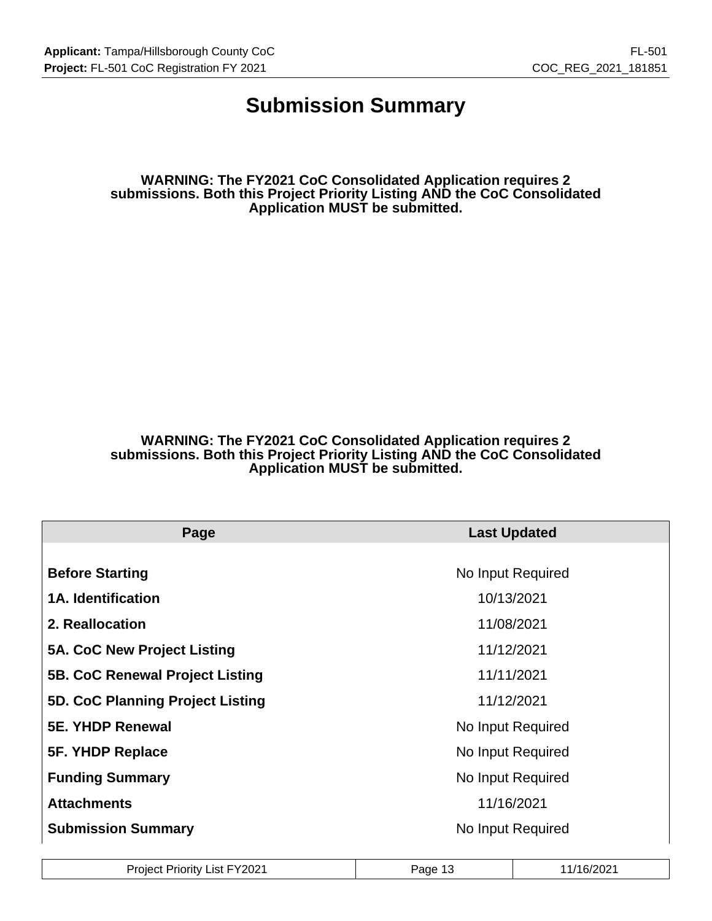## **Submission Summary**

**WARNING: The FY2021 CoC Consolidated Application requires 2 submissions. Both this Project Priority Listing AND the CoC Consolidated Application MUST be submitted.**

### **WARNING: The FY2021 CoC Consolidated Application requires 2 submissions. Both this Project Priority Listing AND the CoC Consolidated Application MUST be submitted.**

| Page                             | <b>Last Updated</b> |
|----------------------------------|---------------------|
|                                  |                     |
| <b>Before Starting</b>           | No Input Required   |
| <b>1A. Identification</b>        | 10/13/2021          |
| 2. Reallocation                  | 11/08/2021          |
| 5A. CoC New Project Listing      | 11/12/2021          |
| 5B. CoC Renewal Project Listing  | 11/11/2021          |
| 5D. CoC Planning Project Listing | 11/12/2021          |
| <b>5E. YHDP Renewal</b>          | No Input Required   |
| 5F. YHDP Replace                 | No Input Required   |
| <b>Funding Summary</b>           | No Input Required   |
| <b>Attachments</b>               | 11/16/2021          |
| <b>Submission Summary</b>        | No Input Required   |

| <b>Project Priority List FY2021</b> | Page 1 <sup>-</sup> | 11/16/2021 |
|-------------------------------------|---------------------|------------|
|-------------------------------------|---------------------|------------|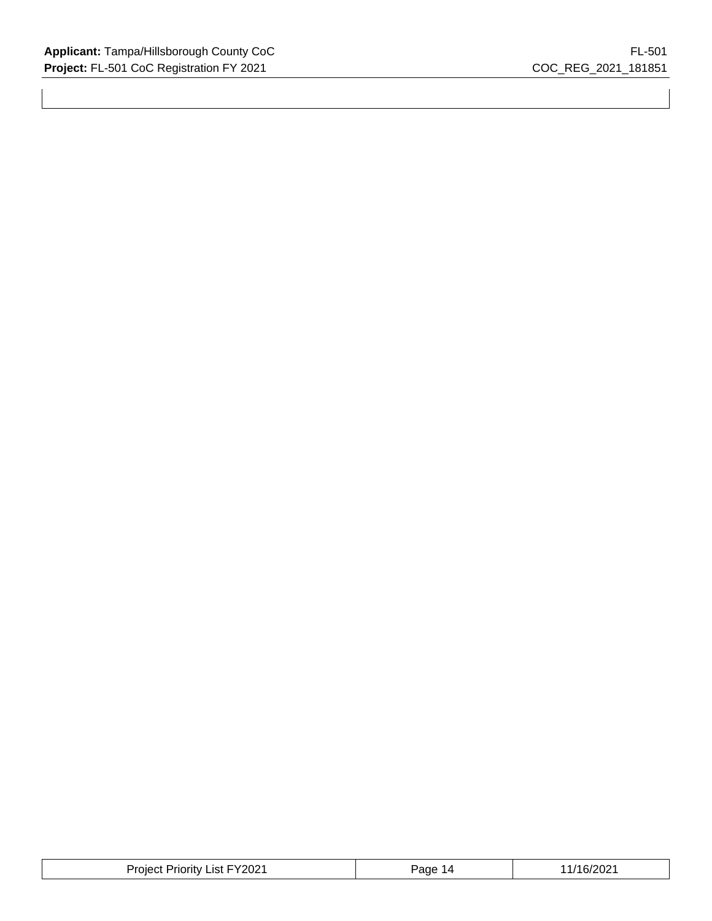$\mathbb{L}$ 

| FY2021<br>122000<br>⊥lSt<br>$Jr_1 \wedge r_1 + v_2$<br>rojer<br>oritv | <sup>∍</sup> ane | .<br>◡▵ |
|-----------------------------------------------------------------------|------------------|---------|
|-----------------------------------------------------------------------|------------------|---------|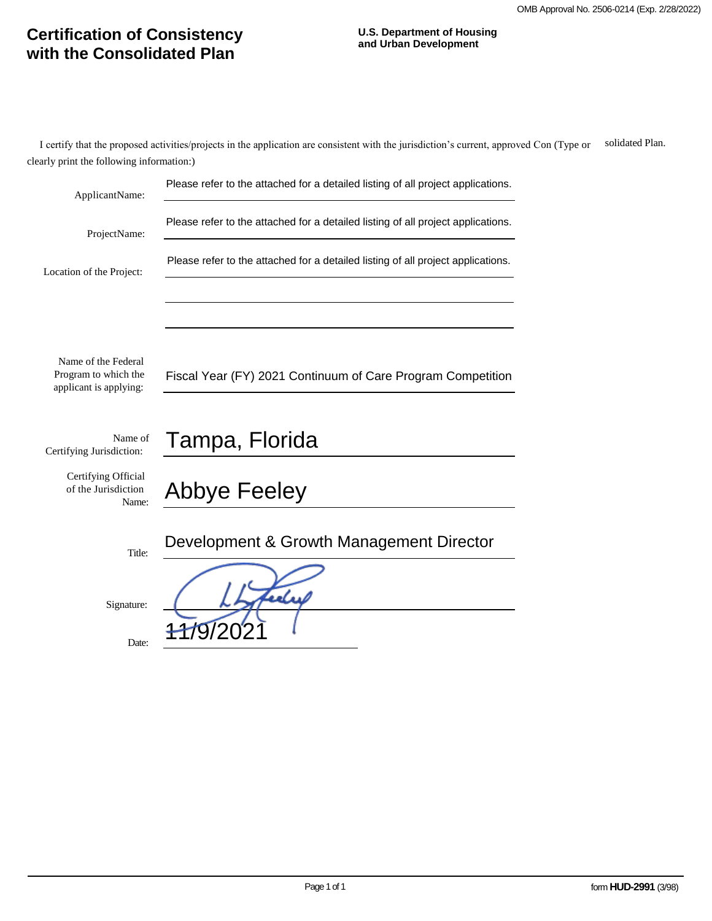## **Certification of Consistency with the Consolidated Plan**

#### **U.S. Department of Housing and Urban Development**

I certify that the proposed activities/projects in the application are consistent with the jurisdiction's current, approved Con (Type or clearly print the following information:) solidated Plan.

| ApplicantName:                                                        | Please refer to the attached for a detailed listing of all project applications. |
|-----------------------------------------------------------------------|----------------------------------------------------------------------------------|
| ProjectName:                                                          | Please refer to the attached for a detailed listing of all project applications. |
| Location of the Project:                                              | Please refer to the attached for a detailed listing of all project applications. |
| Name of the Federal<br>Program to which the<br>applicant is applying: | Fiscal Year (FY) 2021 Continuum of Care Program Competition                      |
| Name of                                                               |                                                                                  |
| Certifying Jurisdiction:                                              | Tampa, Florida                                                                   |
| Certifying Official<br>of the Jurisdiction<br>Name:                   | <b>Abbye Feeley</b>                                                              |
| Title:                                                                | Development & Growth Management Director                                         |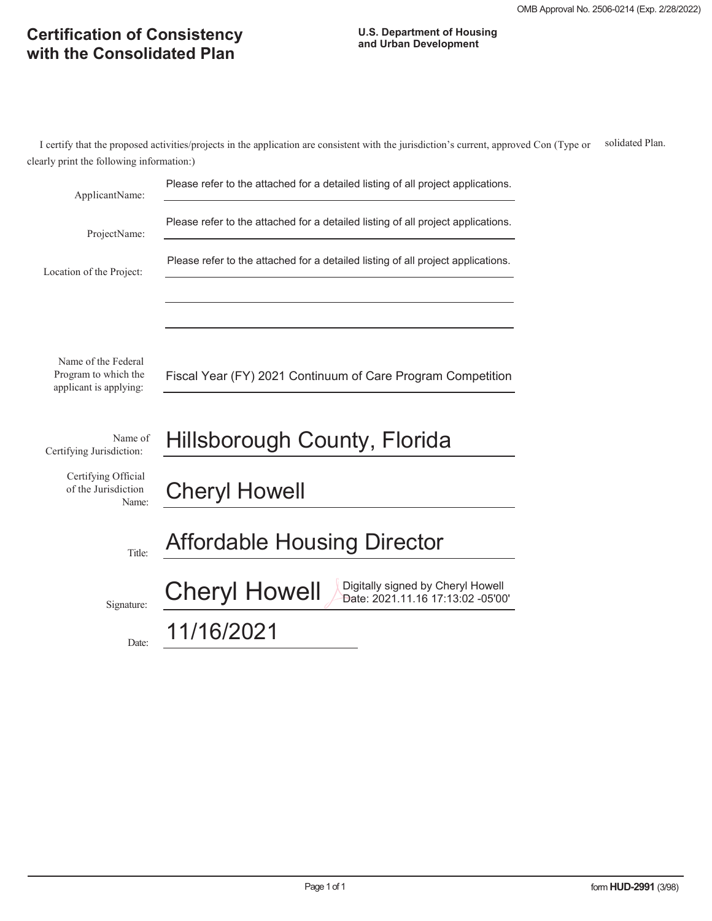## **Certification of Consistency with the Consolidated Plan**

#### **U.S. Department of Housing and Urban Development**

I certify that the proposed activities/projects in the application are consistent with the jurisdiction's current, approved Con (Type or clearly print the following information:) solidated Plan.

| ApplicantName:                                                        | Please refer to the attached for a detailed listing of all project applications.               |
|-----------------------------------------------------------------------|------------------------------------------------------------------------------------------------|
| ProjectName:                                                          | Please refer to the attached for a detailed listing of all project applications.               |
| Location of the Project:                                              | Please refer to the attached for a detailed listing of all project applications.               |
| Name of the Federal<br>Program to which the<br>applicant is applying: | Fiscal Year (FY) 2021 Continuum of Care Program Competition                                    |
| Name of<br>Certifying Jurisdiction:                                   | Hillsborough County, Florida                                                                   |
| Certifying Official<br>of the Jurisdiction<br>Name:                   | <b>Cheryl Howell</b>                                                                           |
| Title:                                                                | <b>Affordable Housing Director</b>                                                             |
| Signature:                                                            | Digitally signed by Cheryl Howell<br><b>Cheryl Howell</b><br>Date: 2021.11.16 17:13:02 -05'00' |
| Date:                                                                 | 11/16/2021                                                                                     |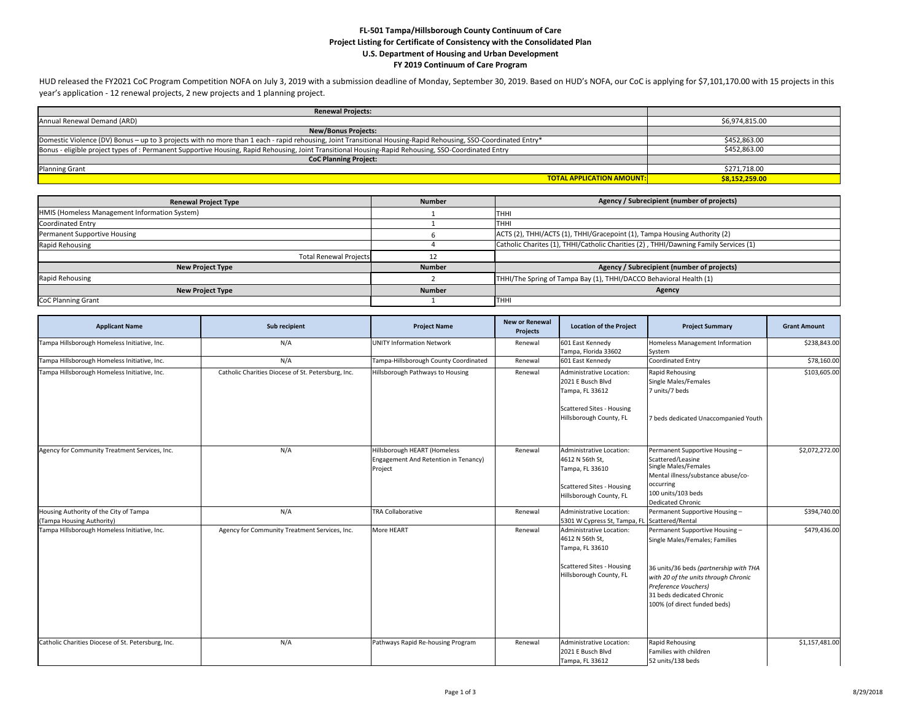## **FL-501 Tampa/Hillsborough County Continuum of Care Project Listing for Certificate of Consistency with the Consolidated Plan U.S. Department of Housing and Urban Development FY 2019 Continuum of Care Program**

HUD released the FY2021 CoC Program Competition NOFA on July 3, 2019 with a submission deadline of Monday, September 30, 2019. Based on HUD's NOFA, our CoC is applying for \$7,101,170.00 with 15 projects in this year's application - 12 renewal projects, 2 new projects and 1 planning project.

| <b>Applicant Name</b>                                               | Sub recipient                                      | <b>Project Name</b>                                                             | <b>New or Renewal</b><br><b>Projects</b> | <b>Location of the Project</b>                                                                                                  | <b>Project Summary</b>                                                                                                                                                                                                                 | <b>Grant Amount</b> |
|---------------------------------------------------------------------|----------------------------------------------------|---------------------------------------------------------------------------------|------------------------------------------|---------------------------------------------------------------------------------------------------------------------------------|----------------------------------------------------------------------------------------------------------------------------------------------------------------------------------------------------------------------------------------|---------------------|
| Tampa Hillsborough Homeless Initiative, Inc.                        | N/A                                                | <b>UNITY Information Network</b>                                                | Renewal                                  | 601 East Kennedy<br>Tampa, Florida 33602                                                                                        | Homeless Management Information<br>System                                                                                                                                                                                              | \$238,843.00        |
| Tampa Hillsborough Homeless Initiative, Inc.                        | N/A                                                | Tampa-Hillsborough County Coordinated                                           | Renewal                                  | 601 East Kennedy                                                                                                                | <b>Coordinated Entry</b>                                                                                                                                                                                                               | \$78,160.00         |
| Tampa Hillsborough Homeless Initiative, Inc.                        | Catholic Charities Diocese of St. Petersburg, Inc. | Hillsborough Pathways to Housing                                                | Renewal                                  | Administrative Location:<br>2021 E Busch Blvd<br>Tampa, FL 33612<br><b>Scattered Sites - Housing</b><br>Hillsborough County, FL | <b>Rapid Rehousing</b><br>Single Males/Females<br>7 units/7 beds<br>7 beds dedicated Unaccompanied Youth                                                                                                                               | \$103,605.00        |
| Agency for Community Treatment Services, Inc.                       | N/A                                                | Hillsborough HEART (Homeless<br>Engagement And Retention in Tenancy)<br>Project | Renewal                                  | Administrative Location:<br>4612 N 56th St,<br>Tampa, FL 33610<br><b>Scattered Sites - Housing</b><br>Hillsborough County, FL   | Permanent Supportive Housing -<br>Scattered/Leasing<br>Single Males/Females<br>Mental illness/substance abuse/co-<br>occurring<br>100 units/103 beds<br><b>Dedicated Chronic</b>                                                       | \$2,072,272.00      |
| Housing Authority of the City of Tampa<br>(Tampa Housing Authority) | N/A                                                | <b>TRA Collaborative</b>                                                        | Renewal                                  | Administrative Location:<br>5301 W Cypress St, Tampa, FL Scattered/Rental                                                       | Permanent Supportive Housing -                                                                                                                                                                                                         | \$394,740.00        |
| Tampa Hillsborough Homeless Initiative, Inc.                        | Agency for Community Treatment Services, Inc.      | More HEART                                                                      | Renewal                                  | Administrative Location:<br>4612 N 56th St,<br>Tampa, FL 33610<br><b>Scattered Sites - Housing</b><br>Hillsborough County, FL   | Permanent Supportive Housing-<br>Single Males/Females; Families<br>36 units/36 beds (partnership with THA<br>with 20 of the units through Chronic<br>Preference Vouchers)<br>31 beds dedicated Chronic<br>100% (of direct funded beds) | \$479,436.00        |
| Catholic Charities Diocese of St. Petersburg, Inc.                  | N/A                                                | Pathways Rapid Re-housing Program                                               | Renewal                                  | Administrative Location:<br>2021 E Busch Blvd<br>Tampa, FL 33612                                                                | Rapid Rehousing<br>Families with children<br>52 units/138 beds                                                                                                                                                                         | \$1,157,481.00      |

| <b>Renewal Project Type</b>                   | <b>Number</b> | Agency / Subrecipient (number of projects)                                           |
|-----------------------------------------------|---------------|--------------------------------------------------------------------------------------|
| HMIS (Homeless Management Information System) |               | <b>THHI</b>                                                                          |
| Coordinated Entry                             |               | Ітнні                                                                                |
| Permanent Supportive Housing                  |               | ACTS (2), THHI/ACTS (1), THHI/Gracepoint (1), Tampa Housing Authority (2)            |
| Rapid Rehousing                               |               | Catholic Charites (1), THHI/Catholic Charities (2), THHI/Dawning Family Services (1) |
| <b>Total Renewal Projects</b>                 |               |                                                                                      |
| <b>New Project Type</b>                       | <b>Number</b> | Agency / Subrecipient (number of projects)                                           |
| Rapid Rehousing                               |               | THHI/The Spring of Tampa Bay (1), THHI/DACCO Behavioral Health (1)                   |
| <b>New Project Type</b>                       | <b>Number</b> | <b>Agency</b>                                                                        |
| CoC Planning Grant                            |               | <b>THHI</b>                                                                          |

| <b>Renewal Projects:</b>                                                                                                                                       |                |
|----------------------------------------------------------------------------------------------------------------------------------------------------------------|----------------|
| Annual Renewal Demand (ARD)                                                                                                                                    | \$6,974,815.00 |
| <b>New/Bonus Projects:</b>                                                                                                                                     |                |
| Domestic Violence (DV) Bonus – up to 3 projects with no more than 1 each - rapid rehousing, Joint Transitional Housing-Rapid Rehousing, SSO-Coordinated Entry* | \$452,863.00   |
| Bonus - eligible project types of : Permanent Supportive Housing, Rapid Rehousing, Joint Transitional Housing-Rapid Rehousing, SSO-Coordinated Entry           | \$452,863.00   |
| <b>CoC Planning Project:</b>                                                                                                                                   |                |
| <b>Planning Grant</b>                                                                                                                                          | \$271,718.00   |
| <b>TOTAL APPLICATION AMOUNT:</b>                                                                                                                               | \$8,152,259.00 |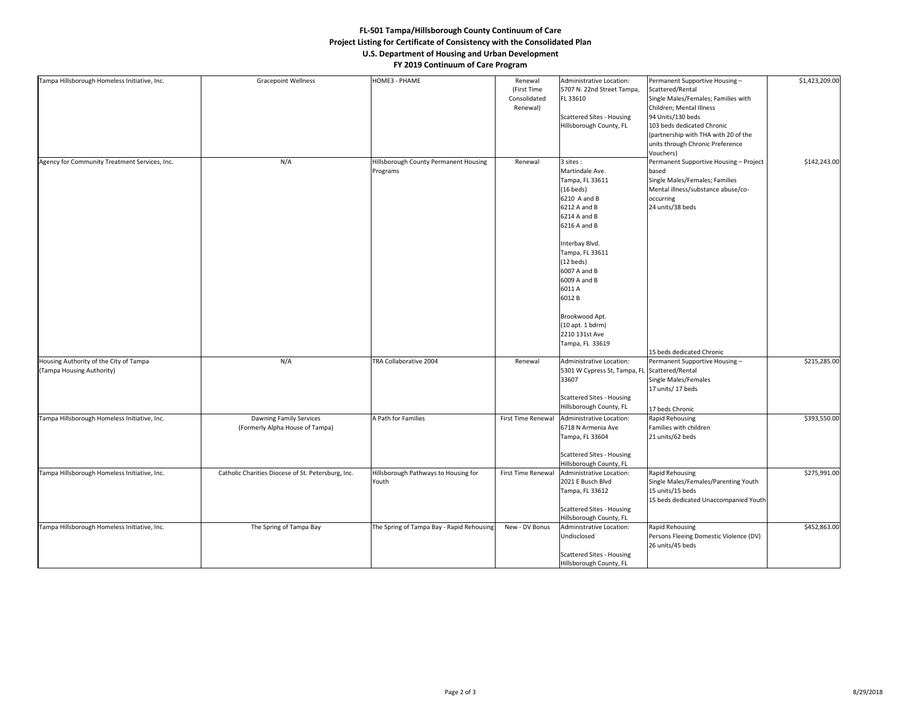## **FL-501 Tampa/Hillsborough County Continuum of Care Project Listing for Certificate of Consistency with the Consolidated Plan U.S. Department of Housing and Urban Development FY 2019 Continuum of Care Program**

| Tampa Hillsborough Homeless Initiative, Inc.                        | <b>Gracepoint Wellness</b>                                        | HOME3 - PHAME                                     | Renewal<br>(First Time<br>Consolidated<br>Renewal) | Administrative Location:<br>5707 N. 22nd Street Tampa,<br>FL 33610<br><b>Scattered Sites - Housing</b><br>Hillsborough County, FL                                                                                                                                                                                     | Permanent Supportive Housing -<br>Scattered/Rental<br>Single Males/Females; Families with<br>Children; Mental Illness<br>94 Units/130 beds<br>103 beds dedicated Chronic<br>(partnership with THA with 20 of the<br>units through Chronic Preference<br>Vouchers) | \$1,423,209.00 |
|---------------------------------------------------------------------|-------------------------------------------------------------------|---------------------------------------------------|----------------------------------------------------|-----------------------------------------------------------------------------------------------------------------------------------------------------------------------------------------------------------------------------------------------------------------------------------------------------------------------|-------------------------------------------------------------------------------------------------------------------------------------------------------------------------------------------------------------------------------------------------------------------|----------------|
| Agency for Community Treatment Services, Inc.                       | N/A                                                               | Hillsborough County Permanent Housing<br>Programs | Renewal                                            | 3 sites :<br>Martindale Ave.<br>Tampa, FL 33611<br>$(16$ beds)<br>6210 A and B<br>6212 A and B<br>6214 A and B<br>6216 A and B<br>Interbay Blvd.<br>Tampa, FL 33611<br>$(12$ beds)<br>6007 A and B<br>6009 A and B<br>6011 A<br>6012B<br>Brookwood Apt.<br>$(10$ apt. 1 bdrm $)$<br>2210 131st Ave<br>Tampa, FL 33619 | Permanent Supportive Housing - Project<br>based<br>Single Males/Females; Families<br>Mental illness/substance abuse/co-<br>occurring<br>24 units/38 beds<br>15 beds dedicated Chronic                                                                             | \$142,243.00   |
| Housing Authority of the City of Tampa<br>(Tampa Housing Authority) | N/A                                                               | TRA Collaborative 2004                            | Renewal                                            | Administrative Location:<br>5301 W Cypress St, Tampa, FL Scattered/Rental<br>33607<br>Scattered Sites - Housing<br>Hillsborough County, FL                                                                                                                                                                            | Permanent Supportive Housing -<br>Single Males/Females<br>17 units/17 beds<br>17 beds Chronic                                                                                                                                                                     | \$215,285.00   |
| Tampa Hillsborough Homeless Initiative, Inc.                        | <b>Dawning Family Services</b><br>(Formerly Alpha House of Tampa) | A Path for Families                               | First Time Renewal                                 | Administrative Location:<br>6718 N Armenia Ave<br>Tampa, FL 33604<br><b>Scattered Sites - Housing</b><br>Hillsborough County, FL                                                                                                                                                                                      | Rapid Rehousing<br>Families with children<br>21 units/62 beds                                                                                                                                                                                                     | \$393,550.00   |
| Tampa Hillsborough Homeless Initiative, Inc.                        | Catholic Charities Diocese of St. Petersburg, Inc.                | Hillsborough Pathways to Housing for<br>Youth     | <b>First Time Renewal</b>                          | Administrative Location:<br>2021 E Busch Blvd<br>Tampa, FL 33612<br><b>Scattered Sites - Housing</b><br>Hillsborough County, FL                                                                                                                                                                                       | Rapid Rehousing<br>Single Males/Females/Parenting Youth<br>15 units/15 beds<br>15 beds dedicated Unaccompanied Youth                                                                                                                                              | \$275,991.00   |
| Tampa Hillsborough Homeless Initiative, Inc.                        | The Spring of Tampa Bay                                           | The Spring of Tampa Bay - Rapid Rehousing         | New - DV Bonus                                     | Administrative Location:<br>Undisclosed<br>Scattered Sites - Housing<br>Hillsborough County, FL                                                                                                                                                                                                                       | Rapid Rehousing<br>Persons Fleeing Domestic Violence (DV)<br>26 units/45 beds                                                                                                                                                                                     | \$452,863.00   |